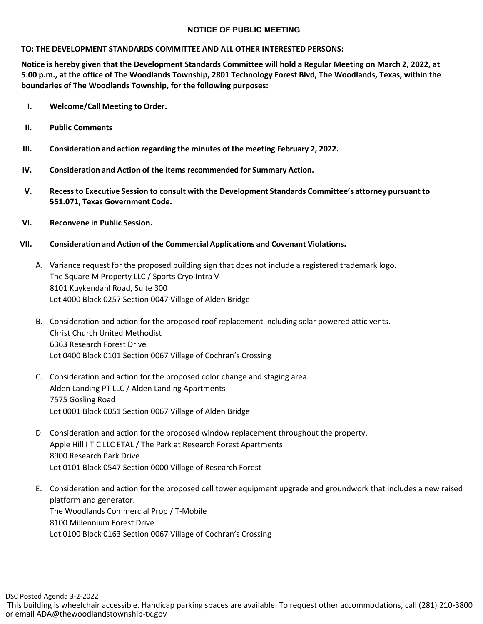## **NOTICE OF PUBLIC MEETING**

## **TO: THE DEVELOPMENT STANDARDS COMMITTEE AND ALL OTHER INTERESTED PERSONS:**

**Notice is hereby given that the Development Standards Committee will hold a Regular Meeting on March 2, 2022, at 5:00 p.m., at the office of The Woodlands Township, 2801 Technology Forest Blvd, The Woodlands, Texas, within the boundaries of The Woodlands Township, for the following purposes:**

- **I. Welcome/Call Meeting to Order.**
- **II. Public Comments**
- **III. Consideration and action regarding the minutes of the meeting February 2, 2022.**
- **IV. Consideration and Action of the items recommended for Summary Action.**
- **V. Recessto Executive Session to consult with the Development Standards Committee's attorney pursuant to 551.071, Texas Government Code.**
- **VI. Reconvene in Public Session.**
- **VII. Consideration and Action of the Commercial Applications and Covenant Violations.**
	- A. Variance request for the proposed building sign that does not include a registered trademark logo. The Square M Property LLC / Sports Cryo Intra V 8101 Kuykendahl Road, Suite 300 Lot 4000 Block 0257 Section 0047 Village of Alden Bridge
	- B. Consideration and action for the proposed roof replacement including solar powered attic vents. Christ Church United Methodist 6363 Research Forest Drive Lot 0400 Block 0101 Section 0067 Village of Cochran's Crossing
	- C. Consideration and action for the proposed color change and staging area. Alden Landing PT LLC / Alden Landing Apartments 7575 Gosling Road Lot 0001 Block 0051 Section 0067 Village of Alden Bridge
	- D. Consideration and action for the proposed window replacement throughout the property. Apple Hill I TIC LLC ETAL / The Park at Research Forest Apartments 8900 Research Park Drive Lot 0101 Block 0547 Section 0000 Village of Research Forest
	- E. Consideration and action for the proposed cell tower equipment upgrade and groundwork that includes a new raised platform and generator. The Woodlands Commercial Prop / T-Mobile 8100 Millennium Forest Drive Lot 0100 Block 0163 Section 0067 Village of Cochran's Crossing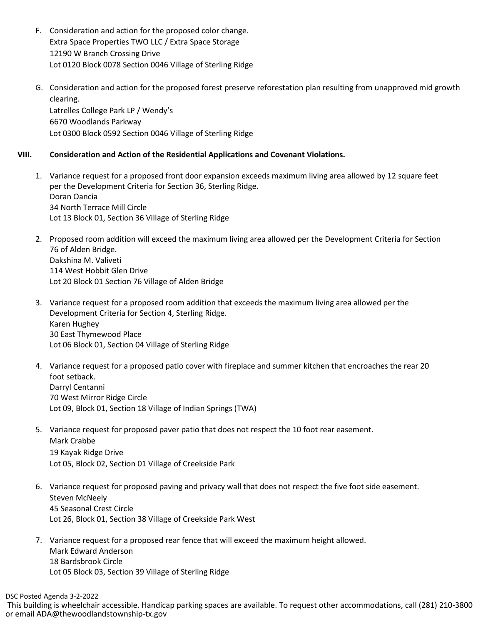- F. Consideration and action for the proposed color change. Extra Space Properties TWO LLC / Extra Space Storage 12190 W Branch Crossing Drive Lot 0120 Block 0078 Section 0046 Village of Sterling Ridge
- G. Consideration and action for the proposed forest preserve reforestation plan resulting from unapproved mid growth clearing. Latrelles College Park LP / Wendy's 6670 Woodlands Parkway Lot 0300 Block 0592 Section 0046 Village of Sterling Ridge

## **VIII. Consideration and Action of the Residential Applications and Covenant Violations.**

- 1. Variance request for a proposed front door expansion exceeds maximum living area allowed by 12 square feet per the Development Criteria for Section 36, Sterling Ridge. Doran Oancia 34 North Terrace Mill Circle Lot 13 Block 01, Section 36 Village of Sterling Ridge
- 2. Proposed room addition will exceed the maximum living area allowed per the Development Criteria for Section 76 of Alden Bridge. Dakshina M. Valiveti 114 West Hobbit Glen Drive Lot 20 Block 01 Section 76 Village of Alden Bridge
- 3. Variance request for a proposed room addition that exceeds the maximum living area allowed per the Development Criteria for Section 4, Sterling Ridge. Karen Hughey 30 East Thymewood Place Lot 06 Block 01, Section 04 Village of Sterling Ridge
- 4. Variance request for a proposed patio cover with fireplace and summer kitchen that encroaches the rear 20 foot setback. Darryl Centanni 70 West Mirror Ridge Circle Lot 09, Block 01, Section 18 Village of Indian Springs (TWA)
- 5. Variance request for proposed paver patio that does not respect the 10 foot rear easement. Mark Crabbe 19 Kayak Ridge Drive Lot 05, Block 02, Section 01 Village of Creekside Park
- 6. Variance request for proposed paving and privacy wall that does not respect the five foot side easement. Steven McNeely 45 Seasonal Crest Circle Lot 26, Block 01, Section 38 Village of Creekside Park West
- 7. Variance request for a proposed rear fence that will exceed the maximum height allowed. Mark Edward Anderson 18 Bardsbrook Circle Lot 05 Block 03, Section 39 Village of Sterling Ridge

DSC Posted Agenda 3-2-2022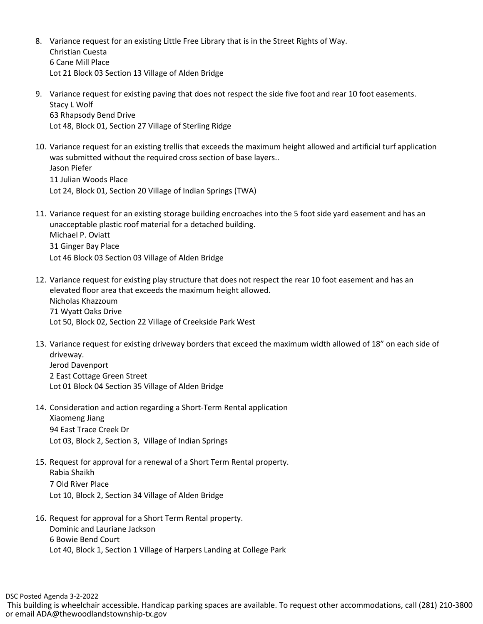- 8. Variance request for an existing Little Free Library that is in the Street Rights of Way. Christian Cuesta 6 Cane Mill Place Lot 21 Block 03 Section 13 Village of Alden Bridge
- 9. Variance request for existing paving that does not respect the side five foot and rear 10 foot easements. Stacy L Wolf 63 Rhapsody Bend Drive Lot 48, Block 01, Section 27 Village of Sterling Ridge
- 10. Variance request for an existing trellis that exceeds the maximum height allowed and artificial turf application was submitted without the required cross section of base layers.. Jason Piefer 11 Julian Woods Place Lot 24, Block 01, Section 20 Village of Indian Springs (TWA)
- 11. Variance request for an existing storage building encroaches into the 5 foot side yard easement and has an unacceptable plastic roof material for a detached building. Michael P. Oviatt 31 Ginger Bay Place Lot 46 Block 03 Section 03 Village of Alden Bridge
- 12. Variance request for existing play structure that does not respect the rear 10 foot easement and has an elevated floor area that exceeds the maximum height allowed. Nicholas Khazzoum 71 Wyatt Oaks Drive Lot 50, Block 02, Section 22 Village of Creekside Park West
- 13. Variance request for existing driveway borders that exceed the maximum width allowed of 18" on each side of driveway. Jerod Davenport 2 East Cottage Green Street
	- Lot 01 Block 04 Section 35 Village of Alden Bridge
- 14. Consideration and action regarding a Short-Term Rental application Xiaomeng Jiang 94 East Trace Creek Dr Lot 03, Block 2, Section 3, Village of Indian Springs
- 15. Request for approval for a renewal of a Short Term Rental property. Rabia Shaikh 7 Old River Place Lot 10, Block 2, Section 34 Village of Alden Bridge
- 16. Request for approval for a Short Term Rental property. Dominic and Lauriane Jackson 6 Bowie Bend Court Lot 40, Block 1, Section 1 Village of Harpers Landing at College Park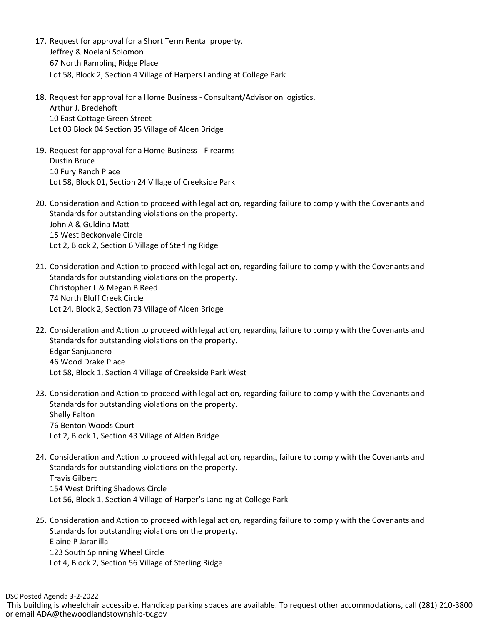- 17. Request for approval for a Short Term Rental property. Jeffrey & Noelani Solomon 67 North Rambling Ridge Place Lot 58, Block 2, Section 4 Village of Harpers Landing at College Park
- 18. Request for approval for a Home Business Consultant/Advisor on logistics. Arthur J. Bredehoft 10 East Cottage Green Street Lot 03 Block 04 Section 35 Village of Alden Bridge
- 19. Request for approval for a Home Business Firearms Dustin Bruce 10 Fury Ranch Place Lot 58, Block 01, Section 24 Village of Creekside Park
- 20. Consideration and Action to proceed with legal action, regarding failure to comply with the Covenants and Standards for outstanding violations on the property. John A & Guldina Matt 15 West Beckonvale Circle Lot 2, Block 2, Section 6 Village of Sterling Ridge
- 21. Consideration and Action to proceed with legal action, regarding failure to comply with the Covenants and Standards for outstanding violations on the property. Christopher L & Megan B Reed 74 North Bluff Creek Circle Lot 24, Block 2, Section 73 Village of Alden Bridge
- 22. Consideration and Action to proceed with legal action, regarding failure to comply with the Covenants and Standards for outstanding violations on the property. Edgar Sanjuanero 46 Wood Drake Place Lot 58, Block 1, Section 4 Village of Creekside Park West
- 23. Consideration and Action to proceed with legal action, regarding failure to comply with the Covenants and Standards for outstanding violations on the property. Shelly Felton 76 Benton Woods Court Lot 2, Block 1, Section 43 Village of Alden Bridge
- 24. Consideration and Action to proceed with legal action, regarding failure to comply with the Covenants and Standards for outstanding violations on the property. Travis Gilbert 154 West Drifting Shadows Circle Lot 56, Block 1, Section 4 Village of Harper's Landing at College Park
- 25. Consideration and Action to proceed with legal action, regarding failure to comply with the Covenants and Standards for outstanding violations on the property. Elaine P Jaranilla 123 South Spinning Wheel Circle Lot 4, Block 2, Section 56 Village of Sterling Ridge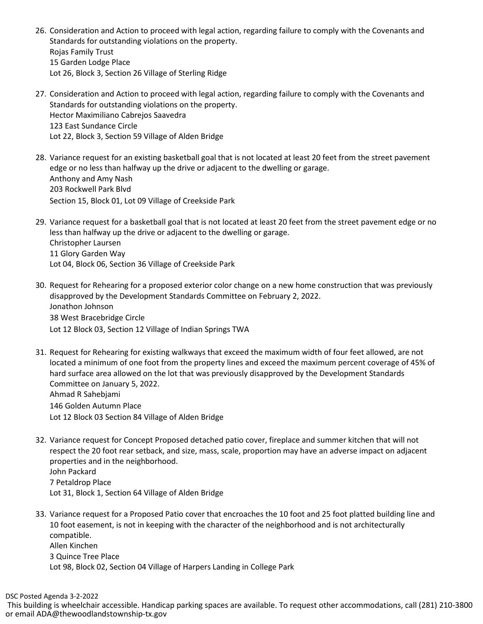- 26. Consideration and Action to proceed with legal action, regarding failure to comply with the Covenants and Standards for outstanding violations on the property. Rojas Family Trust 15 Garden Lodge Place Lot 26, Block 3, Section 26 Village of Sterling Ridge
- 27. Consideration and Action to proceed with legal action, regarding failure to comply with the Covenants and Standards for outstanding violations on the property. Hector Maximiliano Cabrejos Saavedra 123 East Sundance Circle Lot 22, Block 3, Section 59 Village of Alden Bridge
- 28. Variance request for an existing basketball goal that is not located at least 20 feet from the street pavement edge or no less than halfway up the drive or adjacent to the dwelling or garage. Anthony and Amy Nash 203 Rockwell Park Blvd Section 15, Block 01, Lot 09 Village of Creekside Park
- 29. Variance request for a basketball goal that is not located at least 20 feet from the street pavement edge or no less than halfway up the drive or adjacent to the dwelling or garage. Christopher Laursen 11 Glory Garden Way Lot 04, Block 06, Section 36 Village of Creekside Park
- 30. Request for Rehearing for a proposed exterior color change on a new home construction that was previously disapproved by the Development Standards Committee on February 2, 2022. Jonathon Johnson 38 West Bracebridge Circle Lot 12 Block 03, Section 12 Village of Indian Springs TWA
- 31. Request for Rehearing for existing walkways that exceed the maximum width of four feet allowed, are not located a minimum of one foot from the property lines and exceed the maximum percent coverage of 45% of hard surface area allowed on the lot that was previously disapproved by the Development Standards Committee on January 5, 2022. Ahmad R Sahebjami 146 Golden Autumn Place Lot 12 Block 03 Section 84 Village of Alden Bridge
- 32. Variance request for Concept Proposed detached patio cover, fireplace and summer kitchen that will not respect the 20 foot rear setback, and size, mass, scale, proportion may have an adverse impact on adjacent properties and in the neighborhood. John Packard 7 Petaldrop Place Lot 31, Block 1, Section 64 Village of Alden Bridge
- 33. Variance request for a Proposed Patio cover that encroaches the 10 foot and 25 foot platted building line and 10 foot easement, is not in keeping with the character of the neighborhood and is not architecturally compatible. Allen Kinchen 3 Quince Tree Place Lot 98, Block 02, Section 04 Village of Harpers Landing in College Park